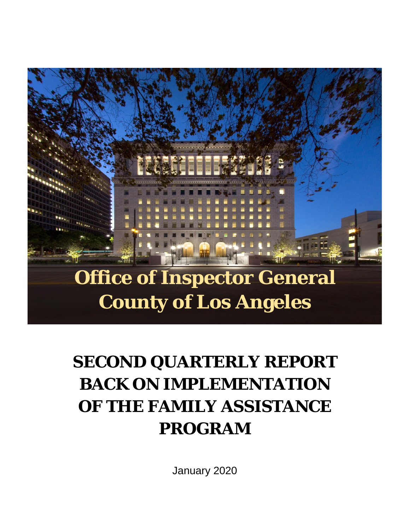# **Office of Inspector General County of Los Angeles**

# **SECOND QUARTERLY REPORT BACK ON IMPLEMENTATION OF THE FAMILY ASSISTANCE PROGRAM**

January 2020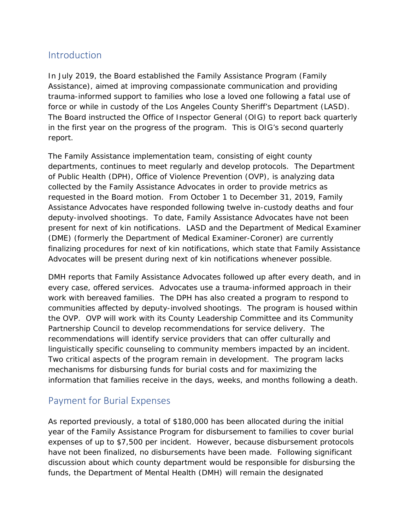### Introduction

In July 2019, the Board established the Family Assistance Program (Family Assistance), aimed at improving compassionate communication and providing trauma-informed support to families who lose a loved one following a fatal use of force or while in custody of the Los Angeles County Sheriff's Department (LASD). The Board instructed the Office of Inspector General (OIG) to report back quarterly in the first year on the progress of the program. This is OIG's second quarterly report.

The Family Assistance implementation team, consisting of eight county departments, continues to meet regularly and develop protocols. The Department of Public Health (DPH), Office of Violence Prevention (OVP), is analyzing data collected by the Family Assistance Advocates in order to provide metrics as requested in the Board motion. From October 1 to December 31, 2019, Family Assistance Advocates have responded following twelve in-custody deaths and four deputy-involved shootings. To date, Family Assistance Advocates have not been present for next of kin notifications. LASD and the Department of Medical Examiner (DME) (formerly the Department of Medical Examiner-Coroner) are currently finalizing procedures for next of kin notifications, which state that Family Assistance Advocates will be present during next of kin notifications whenever possible.

DMH reports that Family Assistance Advocates followed up after every death, and in every case, offered services. Advocates use a trauma-informed approach in their work with bereaved families. The DPH has also created a program to respond to communities affected by deputy-involved shootings. The program is housed within the OVP. OVP will work with its County Leadership Committee and its Community Partnership Council to develop recommendations for service delivery. The recommendations will identify service providers that can offer culturally and linguistically specific counseling to community members impacted by an incident. Two critical aspects of the program remain in development. The program lacks mechanisms for disbursing funds for burial costs and for maximizing the information that families receive in the days, weeks, and months following a death.

## Payment for Burial Expenses

As reported previously, a total of \$180,000 has been allocated during the initial year of the Family Assistance Program for disbursement to families to cover burial expenses of up to \$7,500 per incident. However, because disbursement protocols have not been finalized, no disbursements have been made. Following significant discussion about which county department would be responsible for disbursing the funds, the Department of Mental Health (DMH) will remain the designated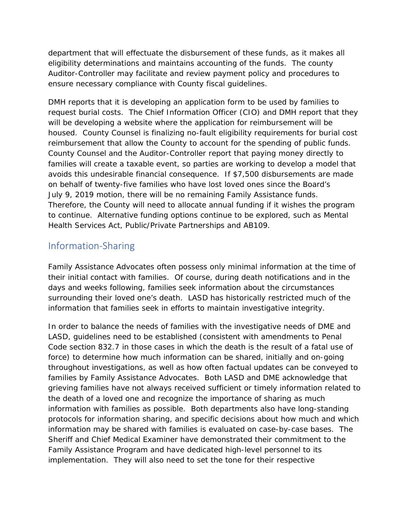department that will effectuate the disbursement of these funds, as it makes all eligibility determinations and maintains accounting of the funds. The county Auditor-Controller may facilitate and review payment policy and procedures to ensure necessary compliance with County fiscal guidelines.

DMH reports that it is developing an application form to be used by families to request burial costs. The Chief Information Officer (CIO) and DMH report that they will be developing a website where the application for reimbursement will be housed. County Counsel is finalizing no-fault eligibility requirements for burial cost reimbursement that allow the County to account for the spending of public funds. County Counsel and the Auditor-Controller report that paying money directly to families will create a taxable event, so parties are working to develop a model that avoids this undesirable financial consequence. If \$7,500 disbursements are made on behalf of twenty-five families who have lost loved ones since the Board's July 9, 2019 motion, there will be no remaining Family Assistance funds. Therefore, the County will need to allocate annual funding if it wishes the program to continue. Alternative funding options continue to be explored, such as Mental Health Services Act, Public/Private Partnerships and AB109.

### Information-Sharing

Family Assistance Advocates often possess only minimal information at the time of their initial contact with families. Of course, during death notifications and in the days and weeks following, families seek information about the circumstances surrounding their loved one's death. LASD has historically restricted much of the information that families seek in efforts to maintain investigative integrity.

In order to balance the needs of families with the investigative needs of DME and LASD, guidelines need to be established (consistent with amendments to Penal Code section 832.7 in those cases in which the death is the result of a fatal use of force) to determine how much information can be shared, initially and on-going throughout investigations, as well as how often factual updates can be conveyed to families by Family Assistance Advocates. Both LASD and DME acknowledge that grieving families have not always received sufficient or timely information related to the death of a loved one and recognize the importance of sharing as much information with families as possible. Both departments also have long-standing protocols for information sharing, and specific decisions about how much and which information may be shared with families is evaluated on case-by-case bases. The Sheriff and Chief Medical Examiner have demonstrated their commitment to the Family Assistance Program and have dedicated high-level personnel to its implementation. They will also need to set the tone for their respective